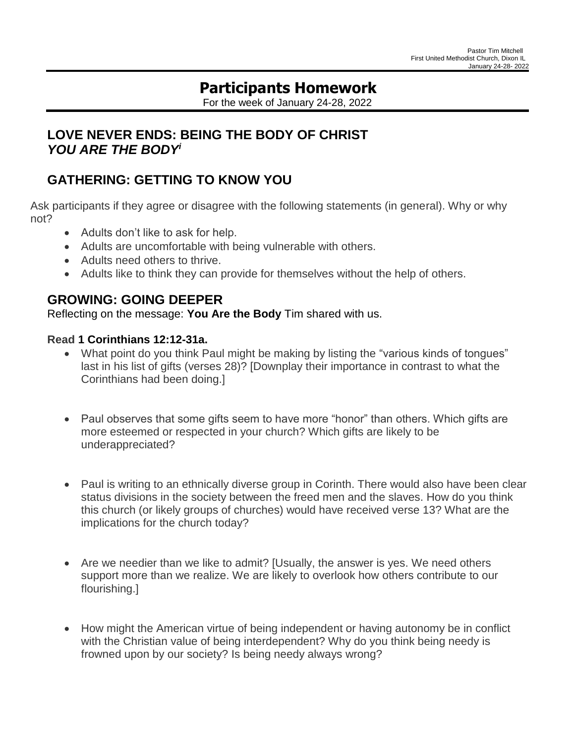# **Participants Homework**

For the week of January 24-28, 2022

## **LOVE NEVER ENDS: BEING THE BODY OF CHRIST** *YOU ARE THE BODY<sup>i</sup>*

## **GATHERING: GETTING TO KNOW YOU**

Ask participants if they agree or disagree with the following statements (in general). Why or why not?

- Adults don't like to ask for help.
- Adults are uncomfortable with being vulnerable with others.
- Adults need others to thrive.
- Adults like to think they can provide for themselves without the help of others.

## **GROWING: GOING DEEPER**

Reflecting on the message: **You Are the Body** Tim shared with us.

#### **Read [1](https://lectionary.library.vanderbilt.edu/texts.php?id=95#hebrew_reading) Corinthians 12:12-31a.**

- What point do you think Paul might be making by listing the "various kinds of tongues" last in his list of gifts (verses 28)? [Downplay their importance in contrast to what the Corinthians had been doing.]
- Paul observes that some gifts seem to have more "honor" than others. Which gifts are more esteemed or respected in your church? Which gifts are likely to be underappreciated?
- Paul is writing to an ethnically diverse group in Corinth. There would also have been clear status divisions in the society between the freed men and the slaves. How do you think this church (or likely groups of churches) would have received verse 13? What are the implications for the church today?
- Are we needier than we like to admit? [Usually, the answer is yes. We need others support more than we realize. We are likely to overlook how others contribute to our flourishing.]
- How might the American virtue of being independent or having autonomy be in conflict with the Christian value of being interdependent? Why do you think being needy is frowned upon by our society? Is being needy always wrong?